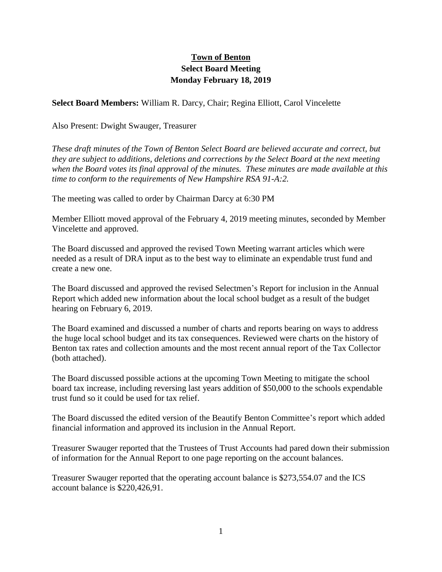## **Town of Benton Select Board Meeting Monday February 18, 2019**

**Select Board Members:** William R. Darcy, Chair; Regina Elliott, Carol Vincelette

## Also Present: Dwight Swauger, Treasurer

*These draft minutes of the Town of Benton Select Board are believed accurate and correct, but they are subject to additions, deletions and corrections by the Select Board at the next meeting when the Board votes its final approval of the minutes. These minutes are made available at this time to conform to the requirements of New Hampshire RSA 91-A:2.*

The meeting was called to order by Chairman Darcy at 6:30 PM

Member Elliott moved approval of the February 4, 2019 meeting minutes, seconded by Member Vincelette and approved.

The Board discussed and approved the revised Town Meeting warrant articles which were needed as a result of DRA input as to the best way to eliminate an expendable trust fund and create a new one.

The Board discussed and approved the revised Selectmen's Report for inclusion in the Annual Report which added new information about the local school budget as a result of the budget hearing on February 6, 2019.

The Board examined and discussed a number of charts and reports bearing on ways to address the huge local school budget and its tax consequences. Reviewed were charts on the history of Benton tax rates and collection amounts and the most recent annual report of the Tax Collector (both attached).

The Board discussed possible actions at the upcoming Town Meeting to mitigate the school board tax increase, including reversing last years addition of \$50,000 to the schools expendable trust fund so it could be used for tax relief.

The Board discussed the edited version of the Beautify Benton Committee's report which added financial information and approved its inclusion in the Annual Report.

Treasurer Swauger reported that the Trustees of Trust Accounts had pared down their submission of information for the Annual Report to one page reporting on the account balances.

Treasurer Swauger reported that the operating account balance is \$273,554.07 and the ICS account balance is \$220,426,91.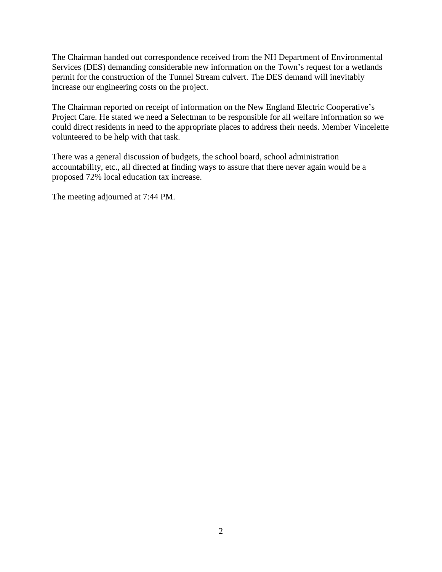The Chairman handed out correspondence received from the NH Department of Environmental Services (DES) demanding considerable new information on the Town's request for a wetlands permit for the construction of the Tunnel Stream culvert. The DES demand will inevitably increase our engineering costs on the project.

The Chairman reported on receipt of information on the New England Electric Cooperative's Project Care. He stated we need a Selectman to be responsible for all welfare information so we could direct residents in need to the appropriate places to address their needs. Member Vincelette volunteered to be help with that task.

There was a general discussion of budgets, the school board, school administration accountability, etc., all directed at finding ways to assure that there never again would be a proposed 72% local education tax increase.

The meeting adjourned at 7:44 PM.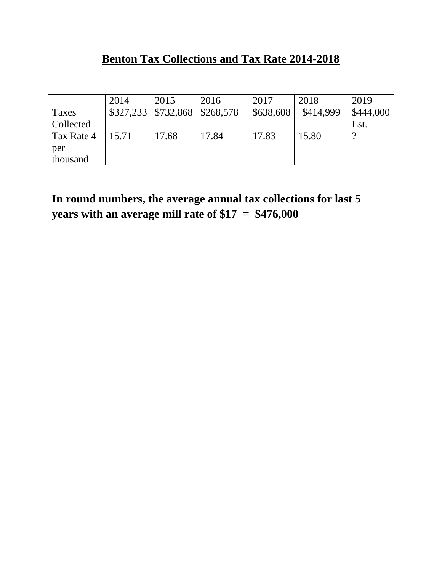## **Benton Tax Collections and Tax Rate 2014-2018**

|                  | 2014  | 2015                          | 2016      | 2017      | 2018      | 2019      |
|------------------|-------|-------------------------------|-----------|-----------|-----------|-----------|
| <b>Taxes</b>     |       | $$327,233 \mid $732,868 \mid$ | \$268,578 | \$638,608 | \$414,999 | \$444,000 |
| <b>Collected</b> |       |                               |           |           |           | Est.      |
| Tax Rate 4       | 15.71 | 17.68                         | 17.84     | 17.83     | 15.80     |           |
| per              |       |                               |           |           |           |           |
| thousand         |       |                               |           |           |           |           |

**In round numbers, the average annual tax collections for last 5 years with an average mill rate of \$17 = \$476,000**